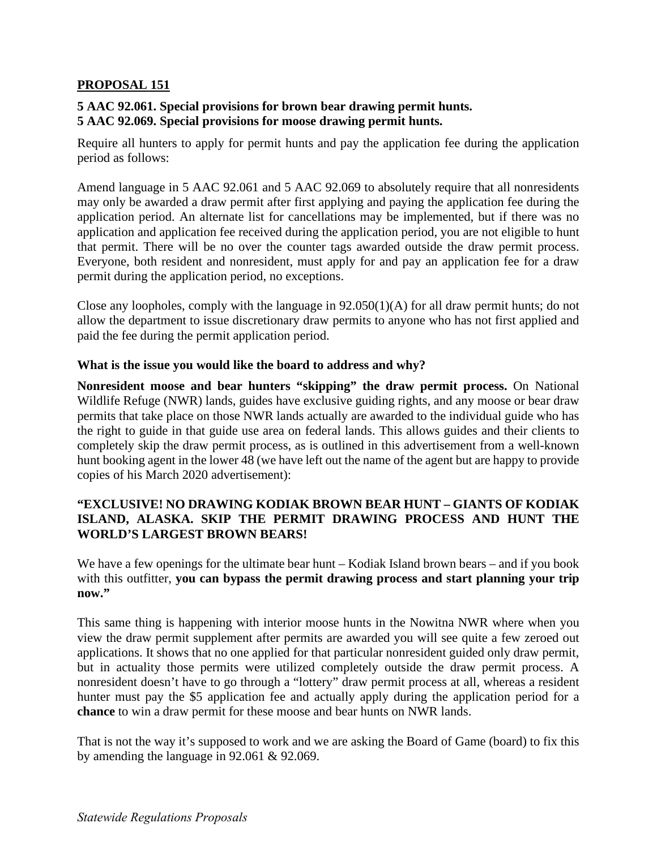### **PROPOSAL 151**

# **5 AAC 92.061. Special provisions for brown bear drawing permit hunts. 5 AAC 92.069. Special provisions for moose drawing permit hunts.**

period as follows: Require all hunters to apply for permit hunts and pay the application fee during the application

Amend language in 5 AAC 92.061 and 5 AAC 92.069 to absolutely require that all nonresidents may only be awarded a draw permit after first applying and paying the application fee during the application period. An alternate list for cancellations may be implemented, but if there was no application and application fee received during the application period, you are not eligible to hunt that permit. There will be no over the counter tags awarded outside the draw permit process. Everyone, both resident and nonresident, must apply for and pay an application fee for a draw permit during the application period, no exceptions.

Close any loopholes, comply with the language in 92.050(1)(A) for all draw permit hunts; do not allow the department to issue discretionary draw permits to anyone who has not first applied and paid the fee during the permit application period.

#### What is the issue you would like the board to address and why?

**Nonresident moose and bear hunters "skipping" the draw permit process.** On National Wildlife Refuge (NWR) lands, guides have exclusive guiding rights, and any moose or bear draw permits that take place on those NWR lands actually are awarded to the individual guide who has the right to guide in that guide use area on federal lands. This allows guides and their clients to completely skip the draw permit process, as is outlined in this advertisement from a well-known hunt booking agent in the lower 48 (we have left out the name of the agent but are happy to provide copies of his March 2020 advertisement):

# **"EXCLUSIVE! NO DRAWING KODIAK BROWN BEAR HUNT – GIANTS OF KODIAK ISLAND, ALASKA. SKIP THE PERMIT DRAWING PROCESS AND HUNT THE WORLD'S LARGEST BROWN BEARS!**

We have a few openings for the ultimate bear hunt – Kodiak Island brown bears – and if you book with this outfitter, **you can bypass the permit drawing process and start planning your trip now."** 

 view the draw permit supplement after permits are awarded you will see quite a few zeroed out nonresident doesn't have to go through a "lottery" draw permit process at all, whereas a resident This same thing is happening with interior moose hunts in the Nowitna NWR where when you applications. It shows that no one applied for that particular nonresident guided only draw permit, but in actuality those permits were utilized completely outside the draw permit process. A hunter must pay the \$5 application fee and actually apply during the application period for a **chance** to win a draw permit for these moose and bear hunts on NWR lands.

 That is not the way it's supposed to work and we are asking the Board of Game (board) to fix this by amending the language in 92.061 & 92.069.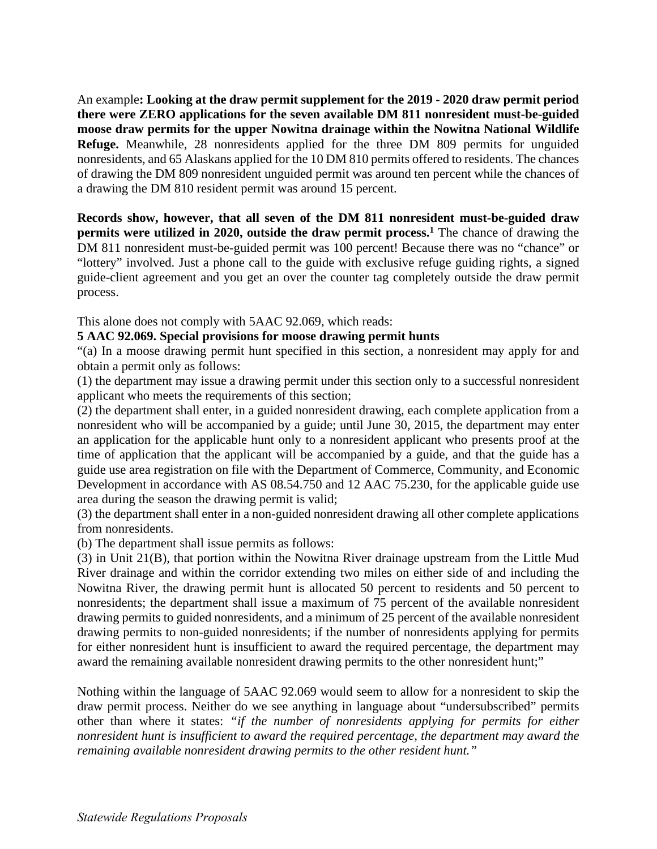An example**: Looking at the draw permit supplement for the 2019 - 2020 draw permit period there were ZERO applications for the seven available DM 811 nonresident must-be-guided moose draw permits for the upper Nowitna drainage within the Nowitna National Wildlife Refuge.** Meanwhile, 28 nonresidents applied for the three DM 809 permits for unguided nonresidents, and 65 Alaskans applied for the 10 DM 810 permits offered to residents. The chances of drawing the DM 809 nonresident unguided permit was around ten percent while the chances of a drawing the DM 810 resident permit was around 15 percent.

**Records show, however, that all seven of the DM 811 nonresident must-be-guided draw permits were utilized in 2020, outside the draw permit process.1** The chance of drawing the DM 811 nonresident must-be-guided permit was 100 percent! Because there was no "chance" or "lottery" involved. Just a phone call to the guide with exclusive refuge guiding rights, a signed guide-client agreement and you get an over the counter tag completely outside the draw permit process.

This alone does not comply with 5AAC 92.069, which reads:

### **5 AAC 92.069. Special provisions for moose drawing permit hunts**

"(a) In a moose drawing permit hunt specified in this section, a nonresident may apply for and obtain a permit only as follows:

(1) the department may issue a drawing permit under this section only to a successful nonresident applicant who meets the requirements of this section;

 guide use area registration on file with the Department of Commerce, Community, and Economic (2) the department shall enter, in a guided nonresident drawing, each complete application from a nonresident who will be accompanied by a guide; until June 30, 2015, the department may enter an application for the applicable hunt only to a nonresident applicant who presents proof at the time of application that the applicant will be accompanied by a guide, and that the guide has a Development in accordance with AS 08.54.750 and 12 AAC 75.230, for the applicable guide use area during the season the drawing permit is valid;

(3) the department shall enter in a non-guided nonresident drawing all other complete applications from nonresidents.

(b) The department shall issue permits as follows:

(3) in Unit 21(B), that portion within the Nowitna River drainage upstream from the Little Mud River drainage and within the corridor extending two miles on either side of and including the Nowitna River, the drawing permit hunt is allocated 50 percent to residents and 50 percent to nonresidents; the department shall issue a maximum of 75 percent of the available nonresident drawing permits to guided nonresidents, and a minimum of 25 percent of the available nonresident drawing permits to non-guided nonresidents; if the number of nonresidents applying for permits for either nonresident hunt is insufficient to award the required percentage, the department may award the remaining available nonresident drawing permits to the other nonresident hunt;"

Nothing within the language of 5AAC 92.069 would seem to allow for a nonresident to skip the draw permit process. Neither do we see anything in language about "undersubscribed" permits other than where it states: *"if the number of nonresidents applying for permits for either nonresident hunt is insufficient to award the required percentage, the department may award the remaining available nonresident drawing permits to the other resident hunt."*